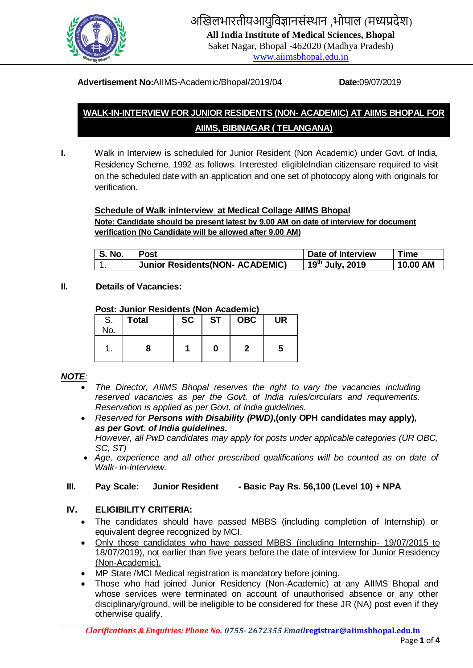

# अखिलभारतीयआयुविज्ञानसंस्थान ,भोपाल (मध्यप्रदेश)

**All India Institute of Medical Sciences, Bhopal**

Saket Nagar, Bhopal -462020 (Madhya Pradesh) [www.aiimsbhopal.edu.in](http://www.aiimsbhopal.edu.in/)

#### **Advertisement No:**AIIMS-Academic/Bhopal/2019/04 **Date:**09/07/2019

# **WALK-IN-INTERVIEW FOR JUNIOR RESIDENTS (NON- ACADEMIC) AT AIIMS BHOPAL FOR AIIMS, BIBINAGAR ( TELANGANA)**

- 
- **I.** Walk in Interview is scheduled for Junior Resident (Non Academic) under Govt. of India, Residency Scheme, 1992 as follows. Interested eligibleIndian citizensare required to visit on the scheduled date with an application and one set of photocopy along with originals for verification.

#### **Schedule of Walk inInterview at Medical Collage AIIMS Bhopal**

**Note: Candidate should be present latest by 9.00 AM on date of interview for document verification (No Candidate will be allowed after 9.00 AM)**

| <b>S. No.</b> | Post                                    | Date of Interview           | $T$ ime  |
|---------------|-----------------------------------------|-----------------------------|----------|
|               | <b>Junior Residents (NON- ACADEMIC)</b> | 19 <sup>th</sup> July, 2019 | 10.00 AM |

#### **II. Details of Vacancies:**

#### **Post: Junior Residents (Non Academic)**

| S.<br>No. | <b>Total</b> | <b>SC</b> | <b>ST</b> | <b>OBC</b> | <b>UR</b> |
|-----------|--------------|-----------|-----------|------------|-----------|
| ۰.        |              |           | 0         |            | ა         |

#### *NOTE:*

- *The Director, AIIMS Bhopal reserves the right to vary the vacancies including reserved vacancies as per the Govt. of India rules/circulars and requirements. Reservation is applied as per Govt. of India guidelines.*
- *Reserved for Persons with Disability (PWD)***,(only OPH candidates may apply)***, as per Govt. of India guidelines.*

*However, all PwD candidates may apply for posts under applicable categories (UR OBC, SC, ST)*

 *Age, experience and all other prescribed qualifications will be counted as on date of Walk- in-Interview.*

#### **III. Pay Scale: Junior Resident - Basic Pay Rs. 56,100 (Level 10) + NPA**

#### **IV. ELIGIBILITY CRITERIA:**

- The candidates should have passed MBBS (including completion of Internship) or equivalent degree recognized by MCI.
- Only those candidates who have passed MBBS (including Internship- 19/07/2015 to 18/07/2019), not earlier than five years before the date of interview for Junior Residency (Non-Academic).
- MP State /MCI Medical registration is mandatory before joining.
- Those who had joined Junior Residency (Non-Academic) at any AIIMS Bhopal and whose services were terminated on account of unauthorised absence or any other disciplinary/ground, will be ineligible to be considered for these JR (NA) post even if they otherwise qualify.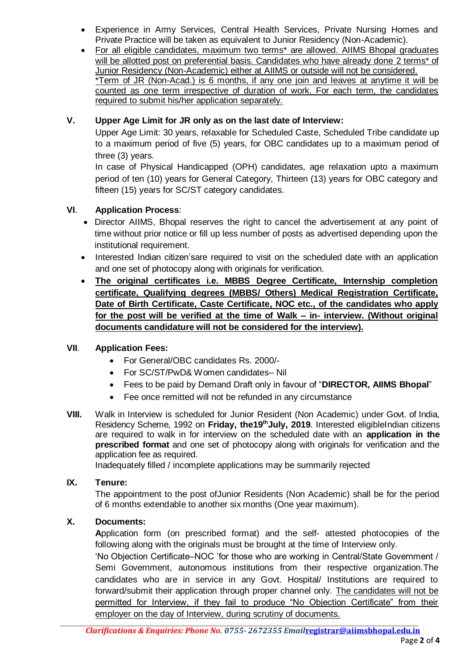- Experience in Army Services, Central Health Services, Private Nursing Homes and Private Practice will be taken as equivalent to Junior Residency (Non-Academic).
- For all eligible candidates, maximum two terms\* are allowed. AIIMS Bhopal graduates will be allotted post on preferential basis. Candidates who have already done 2 terms\* of Junior Residency (Non-Academic) either at AIIMS or outside will not be considered. \*Term of JR (Non-Acad.) is 6 months, if any one join and leaves at anytime it will be counted as one term irrespective of duration of work. For each term, the candidates required to submit his/her application separately.

# **V. Upper Age Limit for JR only as on the last date of Interview:**

Upper Age Limit: 30 years, relaxable for Scheduled Caste, Scheduled Tribe candidate up to a maximum period of five (5) years, for OBC candidates up to a maximum period of three (3) years.

In case of Physical Handicapped (OPH) candidates, age relaxation upto a maximum period of ten (10) years for General Category, Thirteen (13) years for OBC category and fifteen (15) years for SC/ST category candidates.

#### **VI**. **Application Process**:

- Director AIIMS, Bhopal reserves the right to cancel the advertisement at any point of time without prior notice or fill up less number of posts as advertised depending upon the institutional requirement.
- Interested Indian citizen'sare required to visit on the scheduled date with an application and one set of photocopy along with originals for verification.
- **The original certificates i.e. MBBS Degree Certificate, Internship completion certificate, Qualifying degrees (MBBS/ Others) Medical Registration Certificate, Date of Birth Certificate, Caste Certificate, NOC etc., of the candidates who apply for the post will be verified at the time of Walk – in- interview. (Without original documents candidature will not be considered for the interview).**

#### **VII**. **Application Fees:**

- For General/OBC candidates Rs. 2000/-
- For SC/ST/PwD& Women candidates- Nil
- Fees to be paid by Demand Draft only in favour of "**DIRECTOR, AIIMS Bhopal**"
- Fee once remitted will not be refunded in any circumstance
- **VIII.** Walk in Interview is scheduled for Junior Resident (Non Academic) under Govt. of India, Residency Scheme, 1992 on **Friday, the19thJuly, 2019**. Interested eligibleIndian citizens are required to walk in for interview on the scheduled date with an **application in the prescribed format** and one set of photocopy along with originals for verification and the application fee as required.

Inadequately filled / incomplete applications may be summarily rejected

#### **IX. Tenure:**

The appointment to the post ofJunior Residents (Non Academic) shall be for the period of 6 months extendable to another six months (One year maximum).

#### **X. Documents:**

**A**pplication form (on prescribed format) and the self- attested photocopies of the following along with the originals must be brought at the time of Interview only.

'No Objection Certificate–NOC 'for those who are working in Central/State Government / Semi Government, autonomous institutions from their respective organization.The candidates who are in service in any Govt. Hospital/ Institutions are required to forward/submit their application through proper channel only. The candidates will not be permitted for Interview, if they fail to produce "No Objection Certificate" from their employer on the day of Interview, during scrutiny of documents.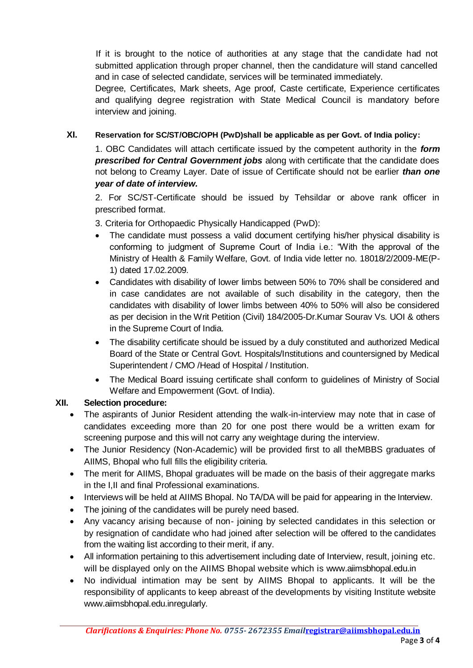If it is brought to the notice of authorities at any stage that the candidate had not submitted application through proper channel, then the candidature will stand cancelled and in case of selected candidate, services will be terminated immediately.

Degree, Certificates, Mark sheets, Age proof, Caste certificate, Experience certificates and qualifying degree registration with State Medical Council is mandatory before interview and joining.

### **XI. Reservation for SC/ST/OBC/OPH (PwD)shall be applicable as per Govt. of India policy:**

1. OBC Candidates will attach certificate issued by the competent authority in the *form prescribed for Central Government jobs* along with certificate that the candidate does not belong to Creamy Layer. Date of issue of Certificate should not be earlier *than one year of date of interview.* 

2. For SC/ST-Certificate should be issued by Tehsildar or above rank officer in prescribed format.

3. Criteria for Orthopaedic Physically Handicapped (PwD):

- The candidate must possess a valid document certifying his/her physical disability is conforming to judgment of Supreme Court of India i.e.: "With the approval of the Ministry of Health & Family Welfare, Govt. of India vide letter no. 18018/2/2009-ME(P-1) dated 17.02.2009.
- Candidates with disability of lower limbs between 50% to 70% shall be considered and in case candidates are not available of such disability in the category, then the candidates with disability of lower limbs between 40% to 50% will also be considered as per decision in the Writ Petition (Civil) 184/2005-Dr.Kumar Sourav Vs. UOI & others in the Supreme Court of India.
- The disability certificate should be issued by a duly constituted and authorized Medical Board of the State or Central Govt. Hospitals/Institutions and countersigned by Medical Superintendent / CMO /Head of Hospital / Institution.
- The Medical Board issuing certificate shall conform to quidelines of Ministry of Social Welfare and Empowerment (Govt. of India).

# **XII. Selection procedure:**

- The aspirants of Junior Resident attending the walk-in-interview may note that in case of candidates exceeding more than 20 for one post there would be a written exam for screening purpose and this will not carry any weightage during the interview.
- The Junior Residency (Non-Academic) will be provided first to all theMBBS graduates of AIIMS, Bhopal who full fills the eligibility criteria.
- The merit for AIIMS, Bhopal graduates will be made on the basis of their aggregate marks in the I,II and final Professional examinations.
- Interviews will be held at AIIMS Bhopal. No TA/DA will be paid for appearing in the Interview.
- The joining of the candidates will be purely need based.
- Any vacancy arising because of non- joining by selected candidates in this selection or by resignation of candidate who had joined after selection will be offered to the candidates from the waiting list according to their merit, if any.
- All information pertaining to this advertisement including date of Interview, result, joining etc. will be displayed only on the AIIMS Bhopal website which is www.aiimsbhopal.edu.in
- No individual intimation may be sent by AIIMS Bhopal to applicants. It will be the responsibility of applicants to keep abreast of the developments by visiting Institute website www.aiimsbhopal.edu.inregularly.